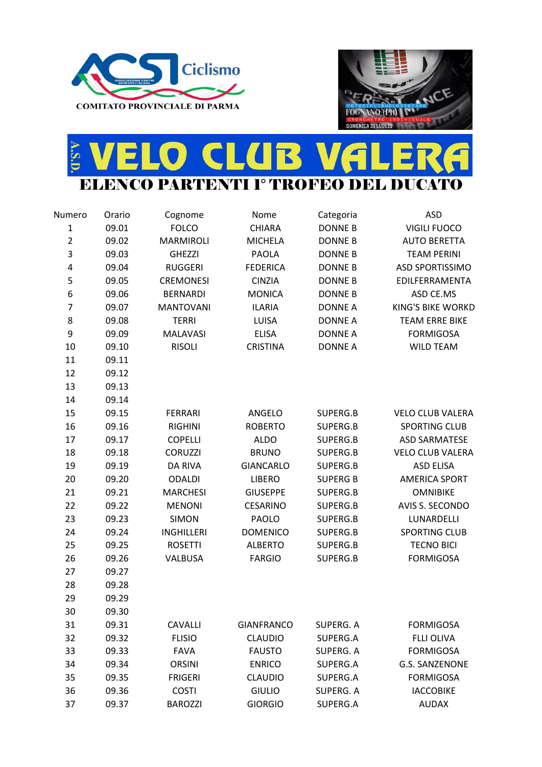



## E VELO CLUB VALERA A.S.D. **ELO**

| Numero         | Orario | Cognome           | Nome              | Categoria       | <b>ASD</b>               |
|----------------|--------|-------------------|-------------------|-----------------|--------------------------|
| $\mathbf 1$    | 09.01  | <b>FOLCO</b>      | CHIARA            | <b>DONNE B</b>  | <b>VIGILI FUOCO</b>      |
| $\overline{2}$ | 09.02  | <b>MARMIROLI</b>  | <b>MICHELA</b>    | <b>DONNE B</b>  | <b>AUTO BERETTA</b>      |
| 3              | 09.03  | <b>GHEZZI</b>     | <b>PAOLA</b>      | <b>DONNE B</b>  | <b>TEAM PERINI</b>       |
| 4              | 09.04  | <b>RUGGERI</b>    | <b>FEDERICA</b>   | <b>DONNE B</b>  | <b>ASD SPORTISSIMO</b>   |
| 5              | 09.05  | <b>CREMONESI</b>  | <b>CINZIA</b>     | <b>DONNE B</b>  | EDILFERRAMENTA           |
| 6              | 09.06  | <b>BERNARDI</b>   | <b>MONICA</b>     | <b>DONNE B</b>  | ASD CE.MS                |
| $\overline{7}$ | 09.07  | <b>MANTOVANI</b>  | <b>ILARIA</b>     | <b>DONNE A</b>  | <b>KING'S BIKE WORKD</b> |
| 8              | 09.08  | <b>TERRI</b>      | LUISA             | <b>DONNE A</b>  | <b>TEAM ERRE BIKE</b>    |
| 9              | 09.09  | <b>MALAVASI</b>   | <b>ELISA</b>      | <b>DONNE A</b>  | <b>FORMIGOSA</b>         |
| 10             | 09.10  | <b>RISOLI</b>     | <b>CRISTINA</b>   | <b>DONNE A</b>  | <b>WILD TEAM</b>         |
| 11             | 09.11  |                   |                   |                 |                          |
| 12             | 09.12  |                   |                   |                 |                          |
| 13             | 09.13  |                   |                   |                 |                          |
| 14             | 09.14  |                   |                   |                 |                          |
| 15             | 09.15  | <b>FERRARI</b>    | ANGELO            | SUPERG.B        | <b>VELO CLUB VALERA</b>  |
| 16             | 09.16  | <b>RIGHINI</b>    | <b>ROBERTO</b>    | SUPERG.B        | SPORTING CLUB            |
| 17             | 09.17  | <b>COPELLI</b>    | <b>ALDO</b>       | SUPERG.B        | <b>ASD SARMATESE</b>     |
| 18             | 09.18  | <b>CORUZZI</b>    | <b>BRUNO</b>      | SUPERG.B        | <b>VELO CLUB VALERA</b>  |
| 19             | 09.19  | <b>DA RIVA</b>    | <b>GIANCARLO</b>  | SUPERG.B        | <b>ASD ELISA</b>         |
| 20             | 09.20  | <b>ODALDI</b>     | <b>LIBERO</b>     | <b>SUPERG B</b> | <b>AMERICA SPORT</b>     |
| 21             | 09.21  | <b>MARCHESI</b>   | <b>GIUSEPPE</b>   | SUPERG.B        | <b>OMNIBIKE</b>          |
| 22             | 09.22  | <b>MENONI</b>     | <b>CESARINO</b>   | SUPERG.B        | AVIS S. SECONDO          |
| 23             | 09.23  | <b>SIMON</b>      | PAOLO             | SUPERG.B        | LUNARDELLI               |
| 24             | 09.24  | <b>INGHILLERI</b> | <b>DOMENICO</b>   | SUPERG.B        | <b>SPORTING CLUB</b>     |
| 25             | 09.25  | <b>ROSETTI</b>    | <b>ALBERTO</b>    | SUPERG.B        | <b>TECNO BICI</b>        |
| 26             | 09.26  | <b>VALBUSA</b>    | <b>FARGIO</b>     | SUPERG.B        | <b>FORMIGOSA</b>         |
| 27             | 09.27  |                   |                   |                 |                          |
| 28             | 09.28  |                   |                   |                 |                          |
| 29             | 09.29  |                   |                   |                 |                          |
| 30             | 09.30  |                   |                   |                 |                          |
| 31             | 09.31  | <b>CAVALLI</b>    | <b>GIANFRANCO</b> | SUPERG. A       | <b>FORMIGOSA</b>         |
| 32             | 09.32  | <b>FLISIO</b>     | <b>CLAUDIO</b>    | SUPERG.A        | <b>FLLI OLIVA</b>        |
| 33             | 09.33  | <b>FAVA</b>       | <b>FAUSTO</b>     | SUPERG. A       | <b>FORMIGOSA</b>         |
| 34             | 09.34  | <b>ORSINI</b>     | <b>ENRICO</b>     | SUPERG.A        | <b>G.S. SANZENONE</b>    |
| 35             | 09.35  | <b>FRIGERI</b>    | <b>CLAUDIO</b>    | SUPERG.A        | <b>FORMIGOSA</b>         |
| 36             | 09.36  | <b>COSTI</b>      | <b>GIULIO</b>     | SUPERG. A       | <b>IACCOBIKE</b>         |
| 37             | 09.37  | <b>BAROZZI</b>    | <b>GIORGIO</b>    | SUPERG.A        | <b>AUDAX</b>             |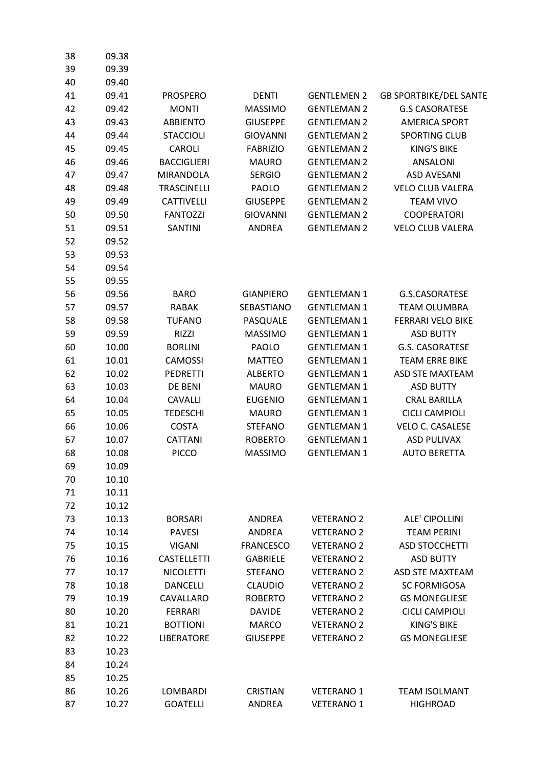| 38 | 09.38 |                    |                   |                    |                               |
|----|-------|--------------------|-------------------|--------------------|-------------------------------|
| 39 | 09.39 |                    |                   |                    |                               |
| 40 | 09.40 |                    |                   |                    |                               |
| 41 | 09.41 | <b>PROSPERO</b>    | <b>DENTI</b>      | <b>GENTLEMEN 2</b> | <b>GB SPORTBIKE/DEL SANTE</b> |
| 42 | 09.42 | <b>MONTI</b>       | <b>MASSIMO</b>    | <b>GENTLEMAN 2</b> | <b>G.S CASORATESE</b>         |
| 43 | 09.43 | <b>ABBIENTO</b>    | <b>GIUSEPPE</b>   | <b>GENTLEMAN 2</b> | <b>AMERICA SPORT</b>          |
| 44 | 09.44 | <b>STACCIOLI</b>   | <b>GIOVANNI</b>   | <b>GENTLEMAN 2</b> | <b>SPORTING CLUB</b>          |
| 45 | 09.45 | <b>CAROLI</b>      | <b>FABRIZIO</b>   | <b>GENTLEMAN 2</b> | <b>KING'S BIKE</b>            |
| 46 | 09.46 | <b>BACCIGLIERI</b> | <b>MAURO</b>      | <b>GENTLEMAN 2</b> | <b>ANSALONI</b>               |
| 47 | 09.47 | <b>MIRANDOLA</b>   | <b>SERGIO</b>     | <b>GENTLEMAN 2</b> | <b>ASD AVESANI</b>            |
| 48 | 09.48 | <b>TRASCINELLI</b> | PAOLO             | <b>GENTLEMAN 2</b> | <b>VELO CLUB VALERA</b>       |
| 49 | 09.49 | <b>CATTIVELLI</b>  | <b>GIUSEPPE</b>   | <b>GENTLEMAN 2</b> | <b>TEAM VIVO</b>              |
| 50 | 09.50 | <b>FANTOZZI</b>    | <b>GIOVANNI</b>   | <b>GENTLEMAN 2</b> | <b>COOPERATORI</b>            |
| 51 | 09.51 | <b>SANTINI</b>     | <b>ANDREA</b>     | <b>GENTLEMAN 2</b> | <b>VELO CLUB VALERA</b>       |
| 52 | 09.52 |                    |                   |                    |                               |
| 53 | 09.53 |                    |                   |                    |                               |
| 54 | 09.54 |                    |                   |                    |                               |
| 55 | 09.55 |                    |                   |                    |                               |
| 56 | 09.56 | <b>BARO</b>        | <b>GIANPIERO</b>  | <b>GENTLEMAN 1</b> | G.S.CASORATESE                |
| 57 | 09.57 | <b>RABAK</b>       | <b>SEBASTIANO</b> | <b>GENTLEMAN 1</b> | <b>TEAM OLUMBRA</b>           |
| 58 | 09.58 | <b>TUFANO</b>      | PASQUALE          | <b>GENTLEMAN 1</b> | <b>FERRARI VELO BIKE</b>      |
| 59 | 09.59 | <b>RIZZI</b>       | <b>MASSIMO</b>    | <b>GENTLEMAN 1</b> | <b>ASD BUTTY</b>              |
| 60 | 10.00 | <b>BORLINI</b>     | PAOLO             | <b>GENTLEMAN 1</b> | <b>G.S. CASORATESE</b>        |
| 61 | 10.01 | <b>CAMOSSI</b>     | <b>MATTEO</b>     | <b>GENTLEMAN 1</b> | <b>TEAM ERRE BIKE</b>         |
| 62 | 10.02 | <b>PEDRETTI</b>    | <b>ALBERTO</b>    | <b>GENTLEMAN 1</b> | <b>ASD STE MAXTEAM</b>        |
| 63 | 10.03 | DE BENI            | <b>MAURO</b>      | <b>GENTLEMAN 1</b> | <b>ASD BUTTY</b>              |
| 64 | 10.04 | <b>CAVALLI</b>     | <b>EUGENIO</b>    | <b>GENTLEMAN 1</b> | <b>CRAL BARILLA</b>           |
| 65 | 10.05 | <b>TEDESCHI</b>    | <b>MAURO</b>      | <b>GENTLEMAN 1</b> | <b>CICLI CAMPIOLI</b>         |
| 66 | 10.06 | <b>COSTA</b>       | <b>STEFANO</b>    | <b>GENTLEMAN 1</b> | <b>VELO C. CASALESE</b>       |
| 67 | 10.07 | <b>CATTANI</b>     | <b>ROBERTO</b>    | <b>GENTLEMAN 1</b> | <b>ASD PULIVAX</b>            |
| 68 | 10.08 | <b>PICCO</b>       | <b>MASSIMO</b>    | <b>GENTLEMAN 1</b> | <b>AUTO BERETTA</b>           |
| 69 | 10.09 |                    |                   |                    |                               |
| 70 | 10.10 |                    |                   |                    |                               |
| 71 | 10.11 |                    |                   |                    |                               |
| 72 | 10.12 |                    |                   |                    |                               |
| 73 | 10.13 | <b>BORSARI</b>     | <b>ANDREA</b>     | <b>VETERANO 2</b>  | <b>ALE' CIPOLLINI</b>         |
| 74 | 10.14 | <b>PAVESI</b>      | <b>ANDREA</b>     | <b>VETERANO 2</b>  | <b>TEAM PERINI</b>            |
| 75 | 10.15 | <b>VIGANI</b>      | <b>FRANCESCO</b>  | <b>VETERANO 2</b>  | <b>ASD STOCCHETTI</b>         |
| 76 | 10.16 | <b>CASTELLETTI</b> | <b>GABRIELE</b>   | <b>VETERANO 2</b>  | <b>ASD BUTTY</b>              |
| 77 | 10.17 | <b>NICOLETTI</b>   | <b>STEFANO</b>    | <b>VETERANO 2</b>  | <b>ASD STE MAXTEAM</b>        |
| 78 | 10.18 | <b>DANCELLI</b>    | <b>CLAUDIO</b>    | <b>VETERANO 2</b>  | <b>SC FORMIGOSA</b>           |
| 79 | 10.19 | CAVALLARO          | <b>ROBERTO</b>    | <b>VETERANO 2</b>  | <b>GS MONEGLIESE</b>          |
| 80 | 10.20 | <b>FERRARI</b>     | <b>DAVIDE</b>     | <b>VETERANO 2</b>  | <b>CICLI CAMPIOLI</b>         |
| 81 | 10.21 | <b>BOTTIONI</b>    | <b>MARCO</b>      | <b>VETERANO 2</b>  | <b>KING'S BIKE</b>            |
| 82 | 10.22 | <b>LIBERATORE</b>  | <b>GIUSEPPE</b>   | <b>VETERANO 2</b>  | <b>GS MONEGLIESE</b>          |
| 83 | 10.23 |                    |                   |                    |                               |
| 84 | 10.24 |                    |                   |                    |                               |
| 85 | 10.25 |                    |                   |                    |                               |
| 86 | 10.26 | <b>LOMBARDI</b>    | <b>CRISTIAN</b>   | <b>VETERANO 1</b>  | <b>TEAM ISOLMANT</b>          |
| 87 | 10.27 | <b>GOATELLI</b>    | <b>ANDREA</b>     | <b>VETERANO 1</b>  | <b>HIGHROAD</b>               |